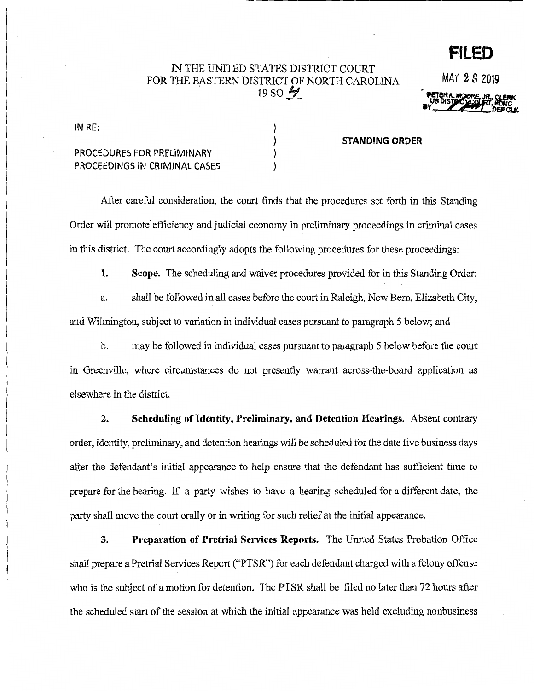# **FILED**

# IN THE UNITED STATES DISTRICT COURT FOR THE EASTERN DISTRICT OF NORTH CAROLINA MAY 2 8 2019

IN RE:

### PROCEDURES FOR PRELIMINARY PROCEEDINGS IN CRIMINAL CASES

#### STANDING ORDER

After careful consideration, the court finds that the procedures set forth in this Standing Order will promote efficiency and judicial economy in preliminary proceedings in criminal cases in this district. The court accordingly adopts the following procedures for these proceedings:

1. Scope. The scheduling and waiver procedures provided for in this Standing Order:

a. shall be followed in all cases before the court in Raleigh, New Bern, Elizabeth City, and Wilmington, subject to variation in individual cases pursuant to paragraph 5 below; and

b. may be followed in individual cases pursuant to paragraph 5 below before the court in Greenville, where circumstances do not presently warrant across-the-board application as elsewhere in the district.

2. Scheduling of Identity, Preliminary, and Detention Hearings. Absent contrary order, identity, preliminary, and detention hearings will be scheduled for the date five business days after the defendant's initial appearance to help ensure that the defendant has sufficient time to prepare for the hearing. If a party wishes to have a hearing scheduled for a different date, the party shall move the court orally or in writing for such relief at the initial appearance.

3. Preparation of Pretrial Services Reports. The United States Probation Office shall prepare a Pretrial Services Report ("PTSR") for each defendant charged with a felony offense who is the subject of a motion for detention. The PTSR shall be filed no later than 72 hours after the scheduled start of the session at which the initial appearance was held excluding nonbusiness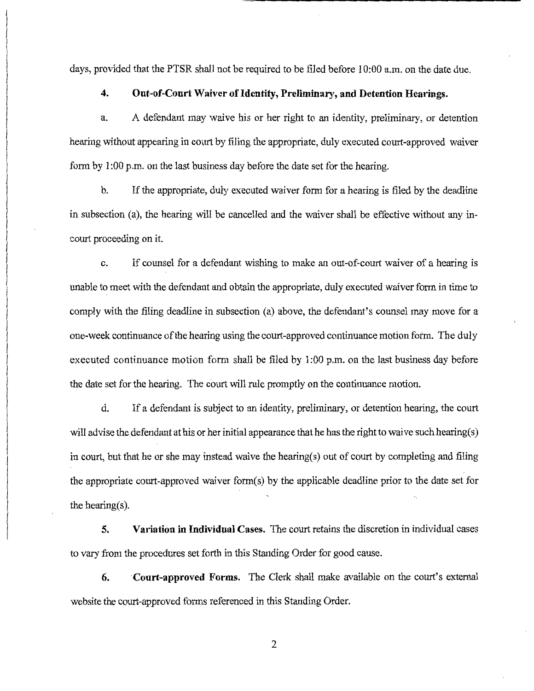days, provided that the PTSR shall not be required to be filed before 10:00 a.m. on the date due.

### **4. Out-of-Court Waiver of Identity, Preliminary, and Detention Hearings.**

a. A defendant may waive his or her right to an identity, preliminary, or detention hearing without appearing in court by filing the appropriate, duly executed court-approved waiver form by 1 :00 p.m. on the last business day before the date set for the hearing.

b. If the appropriate, duly executed waiver form for a hearing is filed by the deadline in subsection (a), the hearing will be cancelled and the waiver shall be effective without any incourt proceeding on it.

c. If counsel for a defendant wishing to make an out-of-court waiver of a hearing is unable to meet with the defendant and obtain the appropriate, duly executed waiver form in time to comply with the filing deadline in subsection (a) above, the defendant's counsel may move for a one-week continuance of the hearing using the court-approved continuance motion fotm. The duly executed continuance motion form shall be filed by 1 :00 p.m. on the last business day before the date set for the hearing. The court will rule promptly on the continuance motion.

d. If a defendant is subject to an identity, preliminary, or detention hearing, the court will advise the defendant at his or her initial appearance that he has the right to waive such hearing(s) in court, but that he or she may instead waive the hearing(s) out of court by completing and filing the appropriate court-approved waiver form(s) by the applicable deadline prior to the date set for the hearing(s).

**5. Variation in Individual Cases.** The court retains the discretion in individual cases to vary from the procedures set forth in this Standing Order for good cause.

**6. Court-approved Forms.** The Clerk shall make available on the court's external website the court-approved forms referenced in this Standing Order.

2